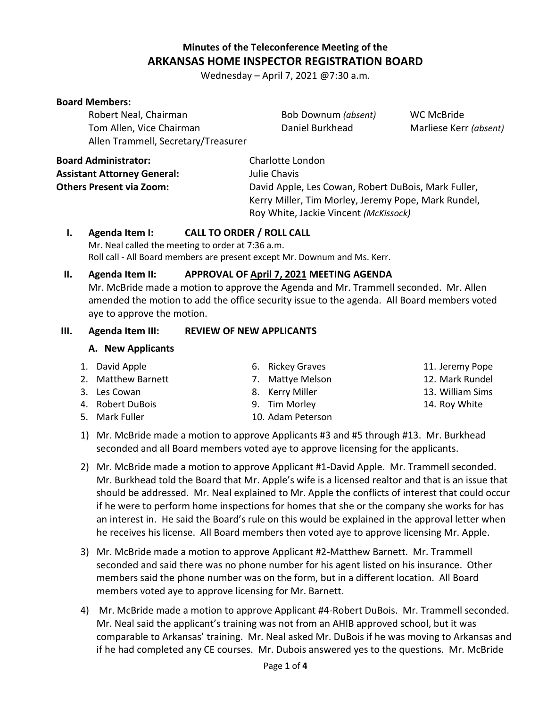# **Minutes of the Teleconference Meeting of the ARKANSAS HOME INSPECTOR REGISTRATION BOARD**

Wednesday – April 7, 2021 @7:30 a.m.

#### **Board Members:**

Robert Neal, Chairman Bob Downum *(absent)* WC McBride Tom Allen, Vice Chairman **Daniel Burkhead** Marliese Kerr *(absent)* Allen Trammell, Secretary/Treasurer

| <b>Board Administrator:</b>        | Charlotte London                                    |
|------------------------------------|-----------------------------------------------------|
| <b>Assistant Attorney General:</b> | Julie Chavis                                        |
| <b>Others Present via Zoom:</b>    | David Apple, Les Cowan, Robert DuBois, Mark Fuller, |
|                                    | Kerry Miller, Tim Morley, Jeremy Pope, Mark Rundel, |
|                                    | Roy White, Jackie Vincent (McKissock)               |

### **I. Agenda Item I: CALL TO ORDER / ROLL CALL**

Mr. Neal called the meeting to order at 7:36 a.m. Roll call - All Board members are present except Mr. Downum and Ms. Kerr.

#### **II. Agenda Item II: APPROVAL OF April 7, 2021 MEETING AGENDA**

Mr. McBride made a motion to approve the Agenda and Mr. Trammell seconded. Mr. Allen amended the motion to add the office security issue to the agenda. All Board members voted aye to approve the motion.

#### **III. Agenda Item III: REVIEW OF NEW APPLICANTS /**

### **A. New Applicants**

| 1. David Apple     | 6. Rickey Graves  | 11. Jeremy Pope  |
|--------------------|-------------------|------------------|
| 2. Matthew Barnett | 7. Mattye Melson  | 12. Mark Rundel  |
| 3. Les Cowan       | 8. Kerry Miller   | 13. William Sims |
| 4. Robert DuBois   | 9. Tim Morley     | 14. Roy White    |
| 5. Mark Fuller     | 10. Adam Peterson |                  |
|                    |                   |                  |

- 1) Mr. McBride made a motion to approve Applicants #3 and #5 through #13. Mr. Burkhead seconded and all Board members voted aye to approve licensing for the applicants.
- 2) Mr. McBride made a motion to approve Applicant #1-David Apple. Mr. Trammell seconded. Mr. Burkhead told the Board that Mr. Apple's wife is a licensed realtor and that is an issue that should be addressed. Mr. Neal explained to Mr. Apple the conflicts of interest that could occur if he were to perform home inspections for homes that she or the company she works for has an interest in. He said the Board's rule on this would be explained in the approval letter when he receives his license. All Board members then voted aye to approve licensing Mr. Apple.
- 3) Mr. McBride made a motion to approve Applicant #2-Matthew Barnett. Mr. Trammell seconded and said there was no phone number for his agent listed on his insurance. Other members said the phone number was on the form, but in a different location. All Board members voted aye to approve licensing for Mr. Barnett.
- 4) Mr. McBride made a motion to approve Applicant #4-Robert DuBois. Mr. Trammell seconded. Mr. Neal said the applicant's training was not from an AHIB approved school, but it was comparable to Arkansas' training. Mr. Neal asked Mr. DuBois if he was moving to Arkansas and if he had completed any CE courses. Mr. Dubois answered yes to the questions. Mr. McBride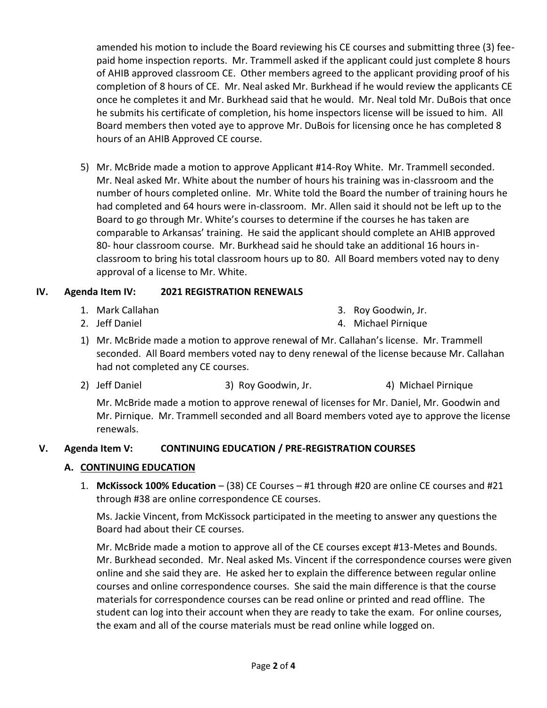amended his motion to include the Board reviewing his CE courses and submitting three (3) feepaid home inspection reports. Mr. Trammell asked if the applicant could just complete 8 hours of AHIB approved classroom CE. Other members agreed to the applicant providing proof of his completion of 8 hours of CE. Mr. Neal asked Mr. Burkhead if he would review the applicants CE once he completes it and Mr. Burkhead said that he would. Mr. Neal told Mr. DuBois that once he submits his certificate of completion, his home inspectors license will be issued to him. All Board members then voted aye to approve Mr. DuBois for licensing once he has completed 8 hours of an AHIB Approved CE course.

5) Mr. McBride made a motion to approve Applicant #14-Roy White. Mr. Trammell seconded. Mr. Neal asked Mr. White about the number of hours his training was in-classroom and the number of hours completed online. Mr. White told the Board the number of training hours he had completed and 64 hours were in-classroom. Mr. Allen said it should not be left up to the Board to go through Mr. White's courses to determine if the courses he has taken are comparable to Arkansas' training. He said the applicant should complete an AHIB approved 80- hour classroom course. Mr. Burkhead said he should take an additional 16 hours inclassroom to bring his total classroom hours up to 80. All Board members voted nay to deny approval of a license to Mr. White.

# **IV. Agenda Item IV: 2021 REGISTRATION RENEWALS**

1. Mark Callahan

3. Roy Goodwin, Jr.

2. Jeff Daniel

- 4. Michael Pirnique
- 1) Mr. McBride made a motion to approve renewal of Mr. Callahan's license. Mr. Trammell seconded. All Board members voted nay to deny renewal of the license because Mr. Callahan had not completed any CE courses.
- 2) Jeff Daniel 3) Roy Goodwin, Jr. 4) Michael Pirnique

Mr. McBride made a motion to approve renewal of licenses for Mr. Daniel, Mr. Goodwin and Mr. Pirnique. Mr. Trammell seconded and all Board members voted aye to approve the license renewals.

# **V. Agenda Item V: CONTINUING EDUCATION / PRE-REGISTRATION COURSES**

# **A. CONTINUING EDUCATION**

1. **McKissock 100% Education** – (38) CE Courses – #1 through #20 are online CE courses and #21 through #38 are online correspondence CE courses.

Ms. Jackie Vincent, from McKissock participated in the meeting to answer any questions the Board had about their CE courses.

Mr. McBride made a motion to approve all of the CE courses except #13-Metes and Bounds. Mr. Burkhead seconded. Mr. Neal asked Ms. Vincent if the correspondence courses were given online and she said they are. He asked her to explain the difference between regular online courses and online correspondence courses. She said the main difference is that the course materials for correspondence courses can be read online or printed and read offline. The student can log into their account when they are ready to take the exam. For online courses, the exam and all of the course materials must be read online while logged on.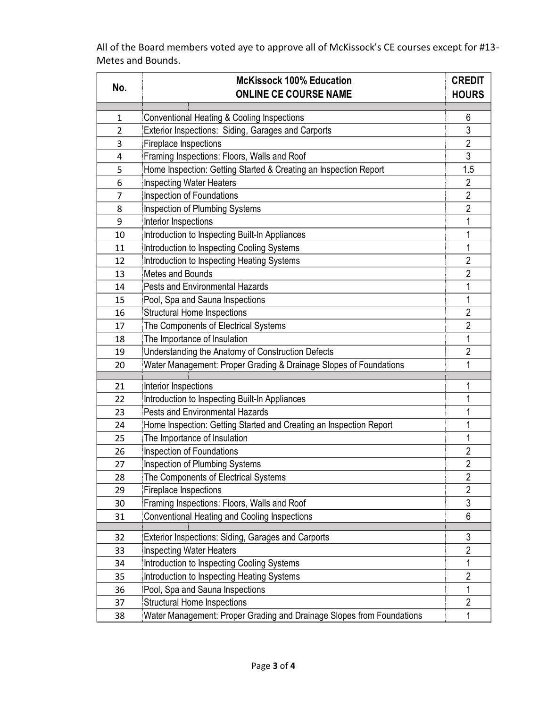All of the Board members voted aye to approve all of McKissock's CE courses except for #13- Metes and Bounds.

|                | <b>McKissock 100% Education</b>                                       |                |  |  |
|----------------|-----------------------------------------------------------------------|----------------|--|--|
| No.            | <b>ONLINE CE COURSE NAME</b>                                          |                |  |  |
| 1              | Conventional Heating & Cooling Inspections                            | 6              |  |  |
| $\overline{2}$ | Exterior Inspections: Siding, Garages and Carports                    | 3              |  |  |
| 3              | Fireplace Inspections                                                 | $\sqrt{2}$     |  |  |
| 4              | Framing Inspections: Floors, Walls and Roof                           | 3              |  |  |
| 5              | Home Inspection: Getting Started & Creating an Inspection Report      | 1.5            |  |  |
| 6              | <b>Inspecting Water Heaters</b>                                       | $\overline{2}$ |  |  |
| 7              | <b>Inspection of Foundations</b>                                      | $\overline{2}$ |  |  |
| 8              | <b>Inspection of Plumbing Systems</b>                                 | $\overline{2}$ |  |  |
| 9              | Interior Inspections                                                  | 1              |  |  |
| 10             | Introduction to Inspecting Built-In Appliances                        | 1              |  |  |
| 11             | Introduction to Inspecting Cooling Systems                            | 1              |  |  |
| 12             | Introduction to Inspecting Heating Systems                            | $\overline{2}$ |  |  |
| 13             | Metes and Bounds                                                      | $\overline{2}$ |  |  |
| 14             | <b>Pests and Environmental Hazards</b>                                | 1              |  |  |
| 15             | Pool, Spa and Sauna Inspections                                       | 1              |  |  |
| 16             | <b>Structural Home Inspections</b>                                    | $\overline{2}$ |  |  |
| 17             | The Components of Electrical Systems                                  | $\sqrt{2}$     |  |  |
| 18             | The Importance of Insulation                                          | 1              |  |  |
| 19             | Understanding the Anatomy of Construction Defects                     | $\overline{2}$ |  |  |
| 20             | Water Management: Proper Grading & Drainage Slopes of Foundations     | 1              |  |  |
|                |                                                                       |                |  |  |
| 21             | Interior Inspections                                                  | 1              |  |  |
| 22             | Introduction to Inspecting Built-In Appliances                        | 1              |  |  |
| 23             | <b>Pests and Environmental Hazards</b>                                | 1              |  |  |
| 24             | Home Inspection: Getting Started and Creating an Inspection Report    | 1              |  |  |
| 25             | The Importance of Insulation                                          | 1              |  |  |
| 26             | Inspection of Foundations                                             | $\overline{2}$ |  |  |
| 27             | <b>Inspection of Plumbing Systems</b>                                 | $\overline{2}$ |  |  |
| 28             | The Components of Electrical Systems                                  | 2              |  |  |
| 29             | Fireplace Inspections                                                 | $\overline{2}$ |  |  |
| 30             | Framing Inspections: Floors, Walls and Roof                           | 3              |  |  |
| 31             | Conventional Heating and Cooling Inspections                          | 6              |  |  |
| 32             | Exterior Inspections: Siding, Garages and Carports                    | 3              |  |  |
| 33             | <b>Inspecting Water Heaters</b>                                       | $\overline{2}$ |  |  |
| 34             | Introduction to Inspecting Cooling Systems                            | 1              |  |  |
| 35             | Introduction to Inspecting Heating Systems                            | $\overline{2}$ |  |  |
| 36             | Pool, Spa and Sauna Inspections                                       | 1              |  |  |
| 37             | <b>Structural Home Inspections</b>                                    | $\overline{2}$ |  |  |
| 38             | Water Management: Proper Grading and Drainage Slopes from Foundations | 1              |  |  |